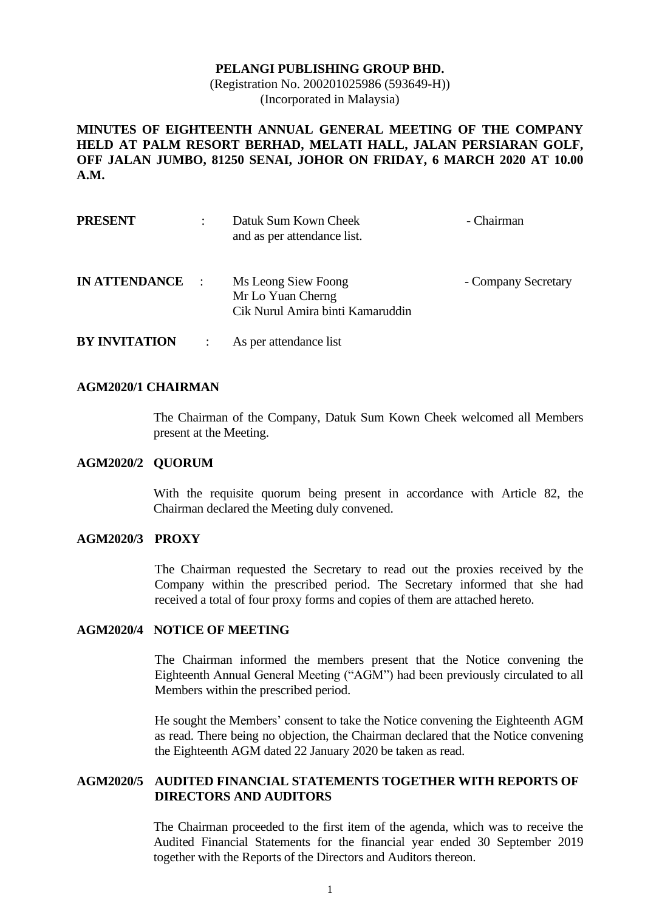#### **PELANGI PUBLISHING GROUP BHD.**

(Registration No. 200201025986 (593649-H)) (Incorporated in Malaysia)

**MINUTES OF EIGHTEENTH ANNUAL GENERAL MEETING OF THE COMPANY HELD AT PALM RESORT BERHAD, MELATI HALL, JALAN PERSIARAN GOLF, OFF JALAN JUMBO, 81250 SENAI, JOHOR ON FRIDAY, 6 MARCH 2020 AT 10.00 A.M.**

| <b>PRESENT</b>       | $\ddot{\cdot}$ | Datuk Sum Kown Cheek<br>and as per attendance list.                          | - Chairman          |
|----------------------|----------------|------------------------------------------------------------------------------|---------------------|
| <b>IN ATTENDANCE</b> | $\mathbb{R}^2$ | Ms Leong Siew Foong<br>Mr Lo Yuan Cherng<br>Cik Nurul Amira binti Kamaruddin | - Company Secretary |
| <b>BY INVITATION</b> |                | As per attendance list                                                       |                     |

## **AGM2020/1 CHAIRMAN**

The Chairman of the Company, Datuk Sum Kown Cheek welcomed all Members present at the Meeting.

#### **AGM2020/2 QUORUM**

With the requisite quorum being present in accordance with Article 82, the Chairman declared the Meeting duly convened.

#### **AGM2020/3 PROXY**

The Chairman requested the Secretary to read out the proxies received by the Company within the prescribed period. The Secretary informed that she had received a total of four proxy forms and copies of them are attached hereto.

#### **AGM2020/4 NOTICE OF MEETING**

The Chairman informed the members present that the Notice convening the Eighteenth Annual General Meeting ("AGM") had been previously circulated to all Members within the prescribed period.

He sought the Members' consent to take the Notice convening the Eighteenth AGM as read. There being no objection, the Chairman declared that the Notice convening the Eighteenth AGM dated 22 January 2020 be taken as read.

# **AGM2020/5 AUDITED FINANCIAL STATEMENTS TOGETHER WITH REPORTS OF DIRECTORS AND AUDITORS**

The Chairman proceeded to the first item of the agenda, which was to receive the Audited Financial Statements for the financial year ended 30 September 2019 together with the Reports of the Directors and Auditors thereon.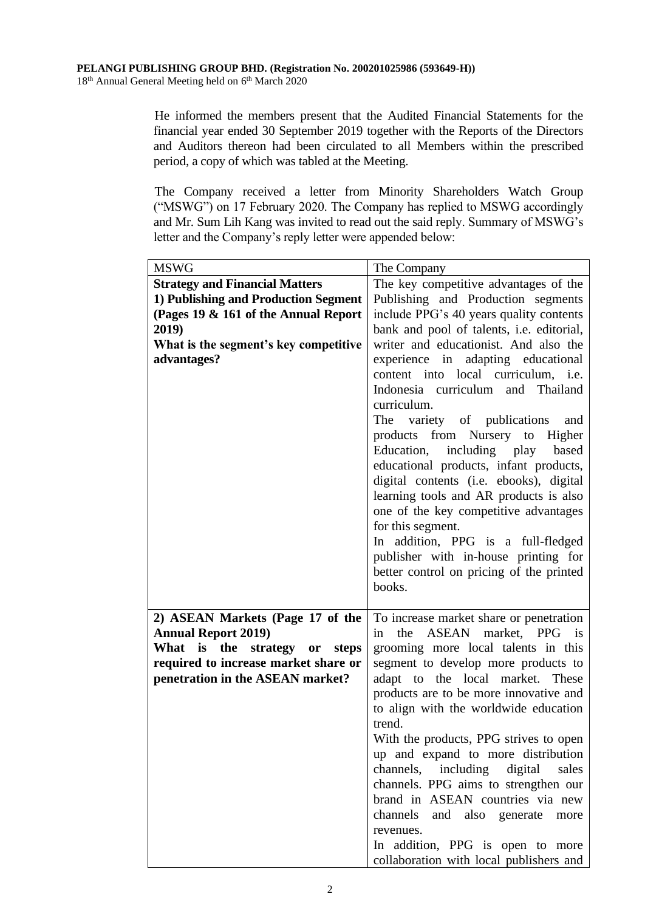He informed the members present that the Audited Financial Statements for the financial year ended 30 September 2019 together with the Reports of the Directors and Auditors thereon had been circulated to all Members within the prescribed period, a copy of which was tabled at the Meeting.

The Company received a letter from Minority Shareholders Watch Group ("MSWG") on 17 February 2020. The Company has replied to MSWG accordingly and Mr. Sum Lih Kang was invited to read out the said reply. Summary of MSWG's letter and the Company's reply letter were appended below:

| <b>MSWG</b>                                                      | The Company                                                              |
|------------------------------------------------------------------|--------------------------------------------------------------------------|
| <b>Strategy and Financial Matters</b>                            | The key competitive advantages of the                                    |
| 1) Publishing and Production Segment                             | Publishing and Production segments                                       |
| (Pages 19 & 161 of the Annual Report                             | include PPG's 40 years quality contents                                  |
| 2019)                                                            | bank and pool of talents, i.e. editorial,                                |
| What is the segment's key competitive                            | writer and educationist. And also the                                    |
| advantages?                                                      | experience in adapting educational                                       |
|                                                                  | content into local curriculum, i.e.                                      |
|                                                                  | Indonesia curriculum and Thailand                                        |
|                                                                  | curriculum.                                                              |
|                                                                  | The variety of publications<br>and                                       |
|                                                                  | products from Nursery to Higher                                          |
|                                                                  | Education, including play<br>based                                       |
|                                                                  | educational products, infant products,                                   |
|                                                                  | digital contents (i.e. ebooks), digital                                  |
|                                                                  | learning tools and AR products is also                                   |
|                                                                  | one of the key competitive advantages                                    |
|                                                                  | for this segment.                                                        |
|                                                                  | In addition, PPG is a full-fledged                                       |
|                                                                  | publisher with in-house printing for                                     |
|                                                                  | better control on pricing of the printed                                 |
|                                                                  | books.                                                                   |
|                                                                  |                                                                          |
| 2) ASEAN Markets (Page 17 of the                                 | To increase market share or penetration                                  |
| <b>Annual Report 2019)</b><br>What                               | ASEAN market, PPG is<br>the<br>in<br>grooming more local talents in this |
| is the strategy or steps<br>required to increase market share or | segment to develop more products to                                      |
| penetration in the ASEAN market?                                 | adapt to the local market. These                                         |
|                                                                  | products are to be more innovative and                                   |
|                                                                  | to align with the worldwide education                                    |
|                                                                  | trend.                                                                   |
|                                                                  | With the products, PPG strives to open                                   |
|                                                                  | up and expand to more distribution                                       |
|                                                                  | channels, including digital<br>sales                                     |
|                                                                  | channels. PPG aims to strengthen our                                     |
|                                                                  | brand in ASEAN countries via new                                         |
|                                                                  | channels<br>and also generate<br>more                                    |
|                                                                  | revenues.                                                                |
|                                                                  | In addition, PPG is open to more                                         |
|                                                                  | collaboration with local publishers and                                  |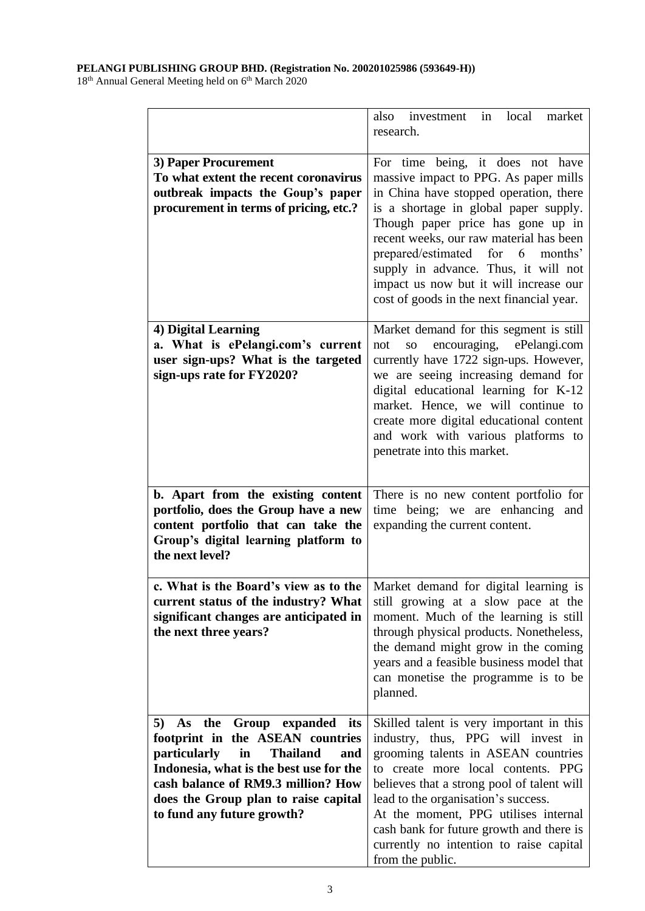#### **PELANGI PUBLISHING GROUP BHD. (Registration No. 200201025986 (593649-H))**

18<sup>th</sup> Annual General Meeting held on 6<sup>th</sup> March 2020

|                                                                                                                                                                                                                                                                                      | also investment in local market<br>research.                                                                                                                                                                                                                                                                                                                                                                    |
|--------------------------------------------------------------------------------------------------------------------------------------------------------------------------------------------------------------------------------------------------------------------------------------|-----------------------------------------------------------------------------------------------------------------------------------------------------------------------------------------------------------------------------------------------------------------------------------------------------------------------------------------------------------------------------------------------------------------|
| 3) Paper Procurement<br>To what extent the recent coronavirus<br>outbreak impacts the Goup's paper<br>procurement in terms of pricing, etc.?                                                                                                                                         | For time being, it does not have<br>massive impact to PPG. As paper mills<br>in China have stopped operation, there<br>is a shortage in global paper supply.<br>Though paper price has gone up in<br>recent weeks, our raw material has been<br>prepared/estimated for 6 months'<br>supply in advance. Thus, it will not<br>impact us now but it will increase our<br>cost of goods in the next financial year. |
| 4) Digital Learning<br>a. What is ePelangi.com's current<br>user sign-ups? What is the targeted<br>sign-ups rate for FY2020?                                                                                                                                                         | Market demand for this segment is still<br>so encouraging,<br>ePelangi.com<br>not<br>currently have 1722 sign-ups. However,<br>we are seeing increasing demand for<br>digital educational learning for K-12<br>market. Hence, we will continue to<br>create more digital educational content<br>and work with various platforms to<br>penetrate into this market.                                               |
| b. Apart from the existing content<br>portfolio, does the Group have a new<br>content portfolio that can take the<br>Group's digital learning platform to<br>the next level?                                                                                                         | There is no new content portfolio for<br>time being; we are enhancing and<br>expanding the current content.                                                                                                                                                                                                                                                                                                     |
| current status of the industry? What<br>significant changes are anticipated in<br>the next three years?                                                                                                                                                                              | c. What is the Board's view as to the   Market demand for digital learning is<br>still growing at a slow pace at the<br>moment. Much of the learning is still<br>through physical products. Nonetheless,<br>the demand might grow in the coming<br>years and a feasible business model that<br>can monetise the programme is to be<br>planned.                                                                  |
| the<br>Group expanded its<br>5) As<br>footprint in the ASEAN countries<br><i>particularly</i><br><b>Thailand</b><br>in<br>and<br>Indonesia, what is the best use for the<br>cash balance of RM9.3 million? How<br>does the Group plan to raise capital<br>to fund any future growth? | Skilled talent is very important in this<br>industry, thus, PPG will invest in<br>grooming talents in ASEAN countries<br>to create more local contents. PPG<br>believes that a strong pool of talent will<br>lead to the organisation's success.<br>At the moment, PPG utilises internal<br>cash bank for future growth and there is<br>currently no intention to raise capital<br>from the public.             |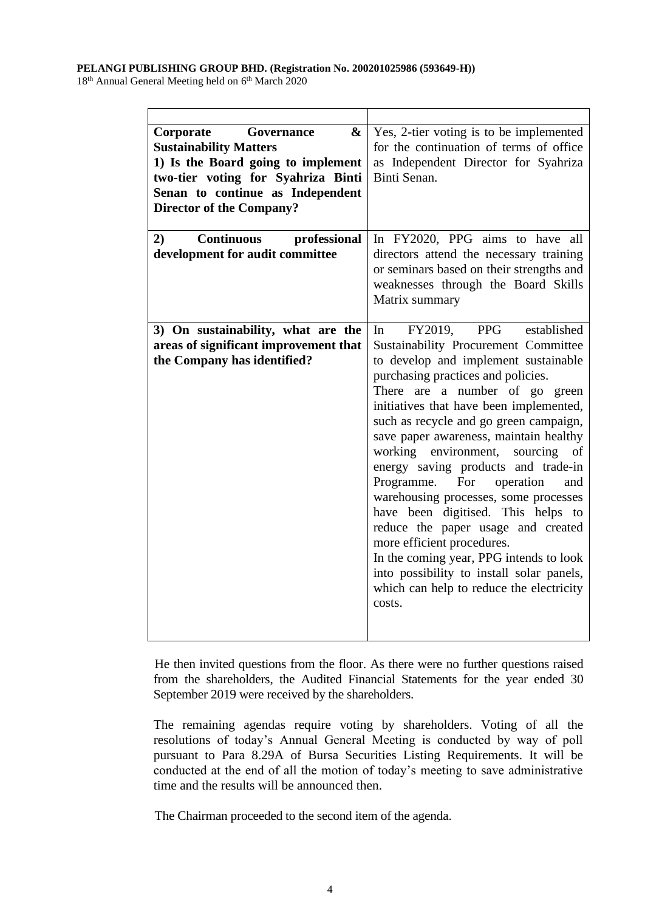#### **PELANGI PUBLISHING GROUP BHD. (Registration No. 200201025986 (593649-H))**

18<sup>th</sup> Annual General Meeting held on 6<sup>th</sup> March 2020

| Corporate<br>&<br>Governance<br><b>Sustainability Matters</b><br>1) Is the Board going to implement<br>two-tier voting for Syahriza Binti<br>Senan to continue as Independent<br><b>Director of the Company?</b> | Yes, 2-tier voting is to be implemented<br>for the continuation of terms of office<br>as Independent Director for Syahriza<br>Binti Senan.                                                                                                                                                                                                                                                                                                                                                                                                                                                                                                                                                                                                      |
|------------------------------------------------------------------------------------------------------------------------------------------------------------------------------------------------------------------|-------------------------------------------------------------------------------------------------------------------------------------------------------------------------------------------------------------------------------------------------------------------------------------------------------------------------------------------------------------------------------------------------------------------------------------------------------------------------------------------------------------------------------------------------------------------------------------------------------------------------------------------------------------------------------------------------------------------------------------------------|
| professional<br><b>Continuous</b><br>2)<br>development for audit committee                                                                                                                                       | In FY2020, PPG aims to have all<br>directors attend the necessary training<br>or seminars based on their strengths and<br>weaknesses through the Board Skills<br>Matrix summary                                                                                                                                                                                                                                                                                                                                                                                                                                                                                                                                                                 |
| 3) On sustainability, what are the<br>areas of significant improvement that<br>the Company has identified?                                                                                                       | FY2019, PPG<br>established<br>In<br>Sustainability Procurement Committee<br>to develop and implement sustainable<br>purchasing practices and policies.<br>There are a number of go green<br>initiatives that have been implemented,<br>such as recycle and go green campaign,<br>save paper awareness, maintain healthy<br>working<br>environment,<br>sourcing<br>of<br>energy saving products and trade-in<br>Programme. For operation<br>and<br>warehousing processes, some processes<br>have been digitised. This helps to<br>reduce the paper usage and created<br>more efficient procedures.<br>In the coming year, PPG intends to look<br>into possibility to install solar panels,<br>which can help to reduce the electricity<br>costs. |

He then invited questions from the floor. As there were no further questions raised from the shareholders, the Audited Financial Statements for the year ended 30 September 2019 were received by the shareholders.

The remaining agendas require voting by shareholders. Voting of all the resolutions of today's Annual General Meeting is conducted by way of poll pursuant to Para 8.29A of Bursa Securities Listing Requirements. It will be conducted at the end of all the motion of today's meeting to save administrative time and the results will be announced then.

The Chairman proceeded to the second item of the agenda.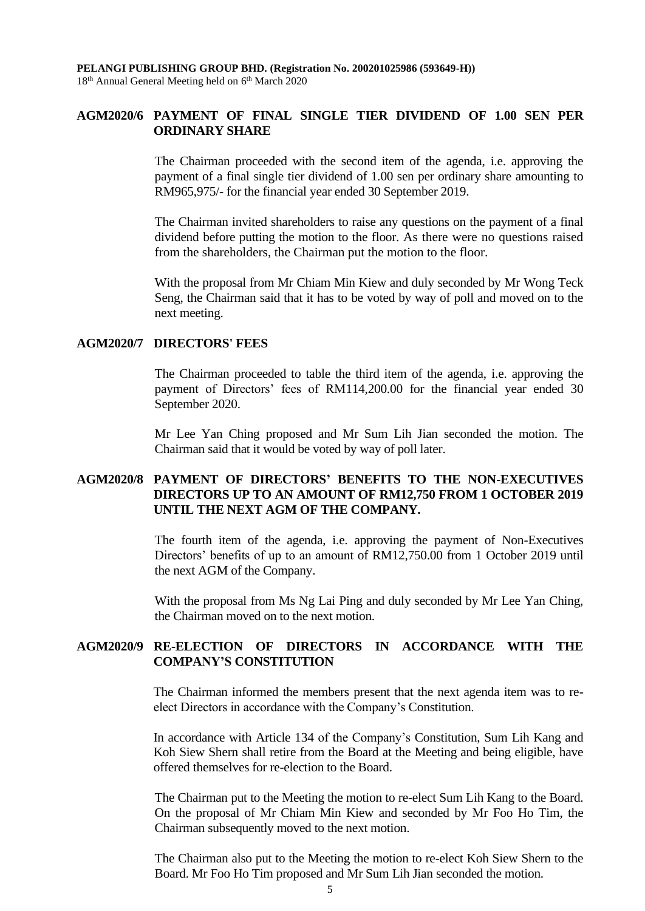## **AGM2020/6 PAYMENT OF FINAL SINGLE TIER DIVIDEND OF 1.00 SEN PER ORDINARY SHARE**

The Chairman proceeded with the second item of the agenda, i.e. approving the payment of a final single tier dividend of 1.00 sen per ordinary share amounting to RM965,975/- for the financial year ended 30 September 2019.

The Chairman invited shareholders to raise any questions on the payment of a final dividend before putting the motion to the floor. As there were no questions raised from the shareholders, the Chairman put the motion to the floor.

With the proposal from Mr Chiam Min Kiew and duly seconded by Mr Wong Teck Seng, the Chairman said that it has to be voted by way of poll and moved on to the next meeting.

## **AGM2020/7 DIRECTORS' FEES**

The Chairman proceeded to table the third item of the agenda, i.e. approving the payment of Directors' fees of RM114,200.00 for the financial year ended 30 September 2020.

Mr Lee Yan Ching proposed and Mr Sum Lih Jian seconded the motion. The Chairman said that it would be voted by way of poll later.

# **AGM2020/8 PAYMENT OF DIRECTORS' BENEFITS TO THE NON-EXECUTIVES DIRECTORS UP TO AN AMOUNT OF RM12,750 FROM 1 OCTOBER 2019 UNTIL THE NEXT AGM OF THE COMPANY.**

The fourth item of the agenda, i.e. approving the payment of Non-Executives Directors' benefits of up to an amount of RM12,750.00 from 1 October 2019 until the next AGM of the Company.

With the proposal from Ms Ng Lai Ping and duly seconded by Mr Lee Yan Ching, the Chairman moved on to the next motion.

# **AGM2020/9 RE-ELECTION OF DIRECTORS IN ACCORDANCE WITH THE COMPANY'S CONSTITUTION**

The Chairman informed the members present that the next agenda item was to reelect Directors in accordance with the Company's Constitution.

In accordance with Article 134 of the Company's Constitution, Sum Lih Kang and Koh Siew Shern shall retire from the Board at the Meeting and being eligible, have offered themselves for re-election to the Board.

The Chairman put to the Meeting the motion to re-elect Sum Lih Kang to the Board. On the proposal of Mr Chiam Min Kiew and seconded by Mr Foo Ho Tim, the Chairman subsequently moved to the next motion.

The Chairman also put to the Meeting the motion to re-elect Koh Siew Shern to the Board. Mr Foo Ho Tim proposed and Mr Sum Lih Jian seconded the motion.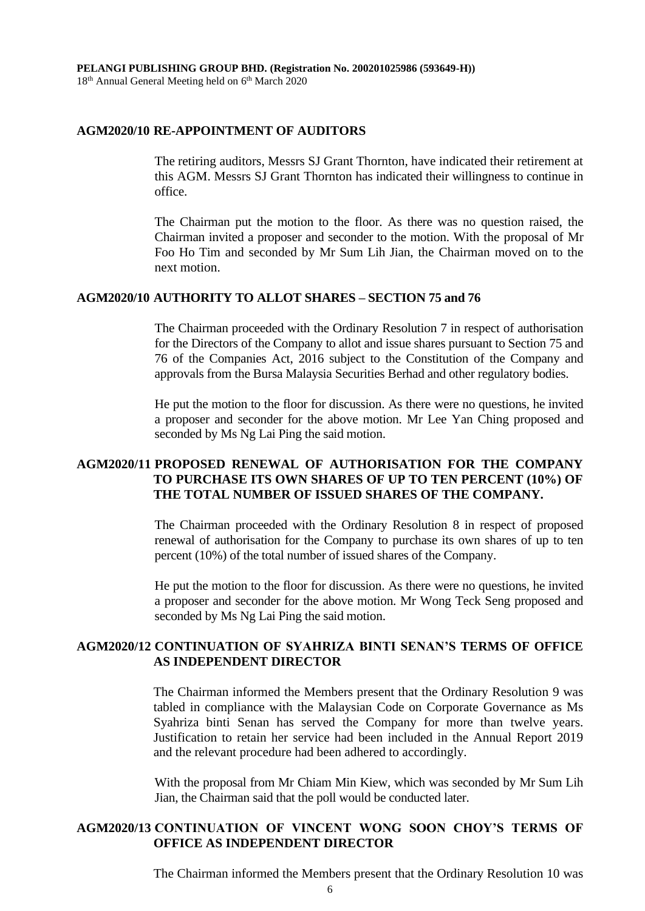## **AGM2020/10 RE-APPOINTMENT OF AUDITORS**

The retiring auditors, Messrs SJ Grant Thornton, have indicated their retirement at this AGM. Messrs SJ Grant Thornton has indicated their willingness to continue in office.

The Chairman put the motion to the floor. As there was no question raised, the Chairman invited a proposer and seconder to the motion. With the proposal of Mr Foo Ho Tim and seconded by Mr Sum Lih Jian, the Chairman moved on to the next motion.

#### **AGM2020/10 AUTHORITY TO ALLOT SHARES – SECTION 75 and 76**

The Chairman proceeded with the Ordinary Resolution 7 in respect of authorisation for the Directors of the Company to allot and issue shares pursuant to Section 75 and 76 of the Companies Act, 2016 subject to the Constitution of the Company and approvals from the Bursa Malaysia Securities Berhad and other regulatory bodies.

He put the motion to the floor for discussion. As there were no questions, he invited a proposer and seconder for the above motion. Mr Lee Yan Ching proposed and seconded by Ms Ng Lai Ping the said motion.

# **AGM2020/11 PROPOSED RENEWAL OF AUTHORISATION FOR THE COMPANY TO PURCHASE ITS OWN SHARES OF UP TO TEN PERCENT (10%) OF THE TOTAL NUMBER OF ISSUED SHARES OF THE COMPANY.**

The Chairman proceeded with the Ordinary Resolution 8 in respect of proposed renewal of authorisation for the Company to purchase its own shares of up to ten percent (10%) of the total number of issued shares of the Company.

He put the motion to the floor for discussion. As there were no questions, he invited a proposer and seconder for the above motion. Mr Wong Teck Seng proposed and seconded by Ms Ng Lai Ping the said motion.

## **AGM2020/12 CONTINUATION OF SYAHRIZA BINTI SENAN'S TERMS OF OFFICE AS INDEPENDENT DIRECTOR**

The Chairman informed the Members present that the Ordinary Resolution 9 was tabled in compliance with the Malaysian Code on Corporate Governance as Ms Syahriza binti Senan has served the Company for more than twelve years. Justification to retain her service had been included in the Annual Report 2019 and the relevant procedure had been adhered to accordingly.

With the proposal from Mr Chiam Min Kiew, which was seconded by Mr Sum Lih Jian, the Chairman said that the poll would be conducted later.

# **AGM2020/13 CONTINUATION OF VINCENT WONG SOON CHOY'S TERMS OF OFFICE AS INDEPENDENT DIRECTOR**

The Chairman informed the Members present that the Ordinary Resolution 10 was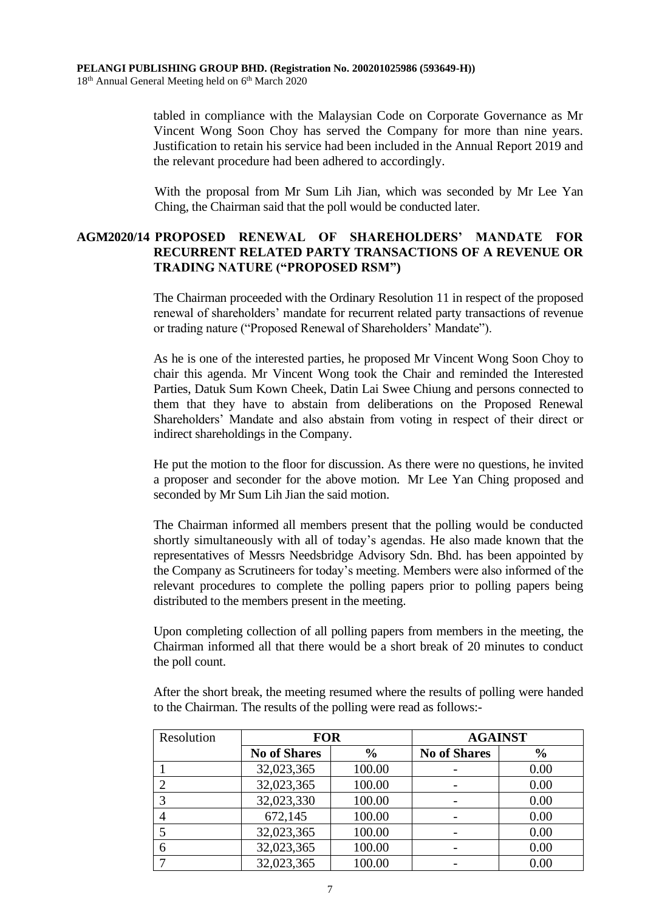tabled in compliance with the Malaysian Code on Corporate Governance as Mr Vincent Wong Soon Choy has served the Company for more than nine years. Justification to retain his service had been included in the Annual Report 2019 and the relevant procedure had been adhered to accordingly.

With the proposal from Mr Sum Lih Jian, which was seconded by Mr Lee Yan Ching, the Chairman said that the poll would be conducted later.

## **AGM2020/14 PROPOSED RENEWAL OF SHAREHOLDERS' MANDATE FOR RECURRENT RELATED PARTY TRANSACTIONS OF A REVENUE OR TRADING NATURE ("PROPOSED RSM")**

The Chairman proceeded with the Ordinary Resolution 11 in respect of the proposed renewal of shareholders' mandate for recurrent related party transactions of revenue or trading nature ("Proposed Renewal of Shareholders' Mandate").

As he is one of the interested parties, he proposed Mr Vincent Wong Soon Choy to chair this agenda. Mr Vincent Wong took the Chair and reminded the Interested Parties, Datuk Sum Kown Cheek, Datin Lai Swee Chiung and persons connected to them that they have to abstain from deliberations on the Proposed Renewal Shareholders' Mandate and also abstain from voting in respect of their direct or indirect shareholdings in the Company.

He put the motion to the floor for discussion. As there were no questions, he invited a proposer and seconder for the above motion. Mr Lee Yan Ching proposed and seconded by Mr Sum Lih Jian the said motion.

The Chairman informed all members present that the polling would be conducted shortly simultaneously with all of today's agendas. He also made known that the representatives of Messrs Needsbridge Advisory Sdn. Bhd. has been appointed by the Company as Scrutineers for today's meeting. Members were also informed of the relevant procedures to complete the polling papers prior to polling papers being distributed to the members present in the meeting.

Upon completing collection of all polling papers from members in the meeting, the Chairman informed all that there would be a short break of 20 minutes to conduct the poll count.

After the short break, the meeting resumed where the results of polling were handed to the Chairman. The results of the polling were read as follows:-

| Resolution | <b>FOR</b>          |               | <b>AGAINST</b>           |               |
|------------|---------------------|---------------|--------------------------|---------------|
|            | <b>No of Shares</b> | $\frac{6}{9}$ | <b>No of Shares</b>      | $\frac{0}{0}$ |
|            | 32,023,365          | 100.00        |                          | 0.00          |
|            | 32,023,365          | 100.00        | $\overline{\phantom{0}}$ | 0.00          |
|            | 32,023,330          | 100.00        |                          | 0.00          |
|            | 672,145             | 100.00        |                          | 0.00          |
|            | 32,023,365          | 100.00        |                          | 0.00          |
|            | 32,023,365          | 100.00        |                          | 0.00          |
|            | 32,023,365          | 100.00        |                          | 0.00          |